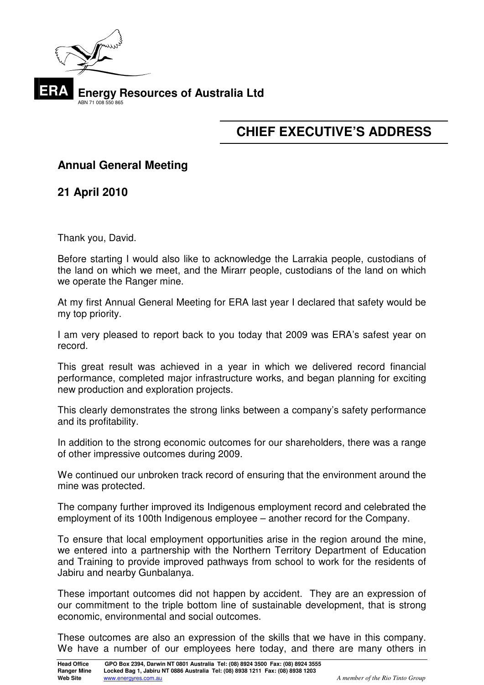

# **CHIEF EXECUTIVE'S ADDRESS**

# **Annual General Meeting**

**21 April 2010** 

Thank you, David.

Before starting I would also like to acknowledge the Larrakia people, custodians of the land on which we meet, and the Mirarr people, custodians of the land on which we operate the Ranger mine.

At my first Annual General Meeting for ERA last year I declared that safety would be my top priority.

I am very pleased to report back to you today that 2009 was ERA's safest year on record.

This great result was achieved in a year in which we delivered record financial performance, completed major infrastructure works, and began planning for exciting new production and exploration projects.

This clearly demonstrates the strong links between a company's safety performance and its profitability.

In addition to the strong economic outcomes for our shareholders, there was a range of other impressive outcomes during 2009.

We continued our unbroken track record of ensuring that the environment around the mine was protected.

The company further improved its Indigenous employment record and celebrated the employment of its 100th Indigenous employee – another record for the Company.

To ensure that local employment opportunities arise in the region around the mine, we entered into a partnership with the Northern Territory Department of Education and Training to provide improved pathways from school to work for the residents of Jabiru and nearby Gunbalanya.

These important outcomes did not happen by accident. They are an expression of our commitment to the triple bottom line of sustainable development, that is strong economic, environmental and social outcomes.

These outcomes are also an expression of the skills that we have in this company. We have a number of our employees here today, and there are many others in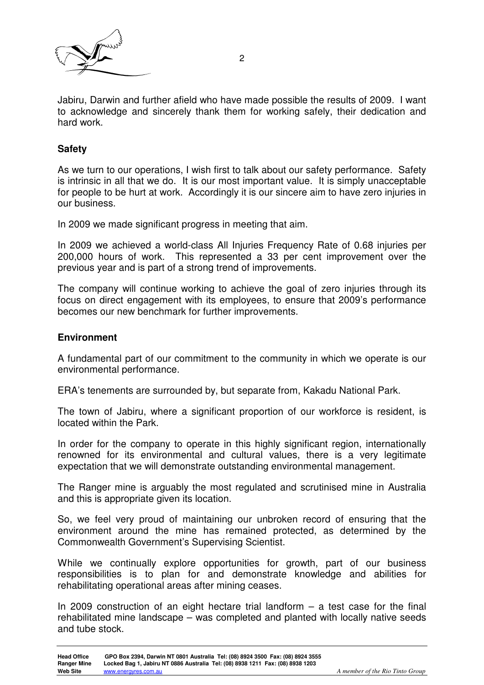

Jabiru, Darwin and further afield who have made possible the results of 2009. I want to acknowledge and sincerely thank them for working safely, their dedication and hard work.

### **Safety**

As we turn to our operations, I wish first to talk about our safety performance. Safety is intrinsic in all that we do. It is our most important value. It is simply unacceptable for people to be hurt at work. Accordingly it is our sincere aim to have zero injuries in our business.

In 2009 we made significant progress in meeting that aim.

In 2009 we achieved a world-class All Injuries Frequency Rate of 0.68 injuries per 200,000 hours of work. This represented a 33 per cent improvement over the previous year and is part of a strong trend of improvements.

The company will continue working to achieve the goal of zero injuries through its focus on direct engagement with its employees, to ensure that 2009's performance becomes our new benchmark for further improvements.

#### **Environment**

A fundamental part of our commitment to the community in which we operate is our environmental performance.

ERA's tenements are surrounded by, but separate from, Kakadu National Park.

The town of Jabiru, where a significant proportion of our workforce is resident, is located within the Park.

In order for the company to operate in this highly significant region, internationally renowned for its environmental and cultural values, there is a very legitimate expectation that we will demonstrate outstanding environmental management.

The Ranger mine is arguably the most regulated and scrutinised mine in Australia and this is appropriate given its location.

So, we feel very proud of maintaining our unbroken record of ensuring that the environment around the mine has remained protected, as determined by the Commonwealth Government's Supervising Scientist.

While we continually explore opportunities for growth, part of our business responsibilities is to plan for and demonstrate knowledge and abilities for rehabilitating operational areas after mining ceases.

In 2009 construction of an eight hectare trial landform  $-$  a test case for the final rehabilitated mine landscape – was completed and planted with locally native seeds and tube stock.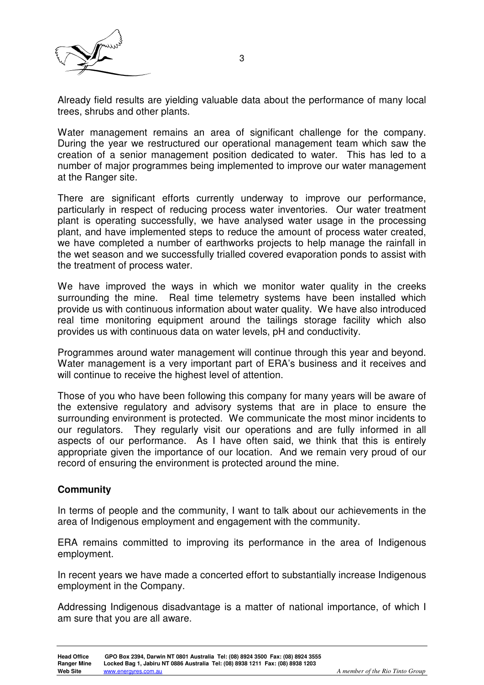

Already field results are yielding valuable data about the performance of many local trees, shrubs and other plants.

Water management remains an area of significant challenge for the company. During the year we restructured our operational management team which saw the creation of a senior management position dedicated to water. This has led to a number of major programmes being implemented to improve our water management at the Ranger site.

There are significant efforts currently underway to improve our performance, particularly in respect of reducing process water inventories. Our water treatment plant is operating successfully, we have analysed water usage in the processing plant, and have implemented steps to reduce the amount of process water created, we have completed a number of earthworks projects to help manage the rainfall in the wet season and we successfully trialled covered evaporation ponds to assist with the treatment of process water.

We have improved the ways in which we monitor water quality in the creeks surrounding the mine. Real time telemetry systems have been installed which provide us with continuous information about water quality. We have also introduced real time monitoring equipment around the tailings storage facility which also provides us with continuous data on water levels, pH and conductivity.

Programmes around water management will continue through this year and beyond. Water management is a very important part of ERA's business and it receives and will continue to receive the highest level of attention.

Those of you who have been following this company for many years will be aware of the extensive regulatory and advisory systems that are in place to ensure the surrounding environment is protected. We communicate the most minor incidents to our regulators. They regularly visit our operations and are fully informed in all aspects of our performance. As I have often said, we think that this is entirely appropriate given the importance of our location. And we remain very proud of our record of ensuring the environment is protected around the mine.

# **Community**

In terms of people and the community, I want to talk about our achievements in the area of Indigenous employment and engagement with the community.

ERA remains committed to improving its performance in the area of Indigenous employment.

In recent years we have made a concerted effort to substantially increase Indigenous employment in the Company.

Addressing Indigenous disadvantage is a matter of national importance, of which I am sure that you are all aware.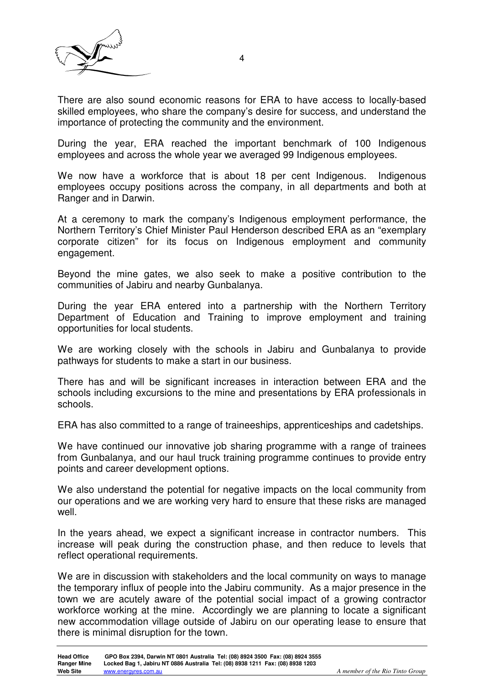

There are also sound economic reasons for ERA to have access to locally-based skilled employees, who share the company's desire for success, and understand the importance of protecting the community and the environment.

During the year, ERA reached the important benchmark of 100 Indigenous employees and across the whole year we averaged 99 Indigenous employees.

We now have a workforce that is about 18 per cent Indigenous. Indigenous employees occupy positions across the company, in all departments and both at Ranger and in Darwin.

At a ceremony to mark the company's Indigenous employment performance, the Northern Territory's Chief Minister Paul Henderson described ERA as an "exemplary corporate citizen" for its focus on Indigenous employment and community engagement.

Beyond the mine gates, we also seek to make a positive contribution to the communities of Jabiru and nearby Gunbalanya.

During the year ERA entered into a partnership with the Northern Territory Department of Education and Training to improve employment and training opportunities for local students.

We are working closely with the schools in Jabiru and Gunbalanya to provide pathways for students to make a start in our business.

There has and will be significant increases in interaction between ERA and the schools including excursions to the mine and presentations by ERA professionals in schools.

ERA has also committed to a range of traineeships, apprenticeships and cadetships.

We have continued our innovative job sharing programme with a range of trainees from Gunbalanya, and our haul truck training programme continues to provide entry points and career development options.

We also understand the potential for negative impacts on the local community from our operations and we are working very hard to ensure that these risks are managed well.

In the years ahead, we expect a significant increase in contractor numbers. This increase will peak during the construction phase, and then reduce to levels that reflect operational requirements.

We are in discussion with stakeholders and the local community on ways to manage the temporary influx of people into the Jabiru community. As a major presence in the town we are acutely aware of the potential social impact of a growing contractor workforce working at the mine. Accordingly we are planning to locate a significant new accommodation village outside of Jabiru on our operating lease to ensure that there is minimal disruption for the town.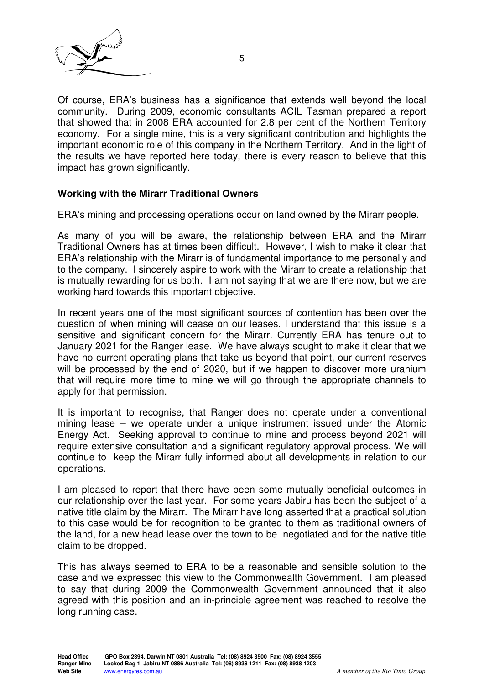

Of course, ERA's business has a significance that extends well beyond the local community. During 2009, economic consultants ACIL Tasman prepared a report that showed that in 2008 ERA accounted for 2.8 per cent of the Northern Territory economy. For a single mine, this is a very significant contribution and highlights the important economic role of this company in the Northern Territory. And in the light of the results we have reported here today, there is every reason to believe that this impact has grown significantly.

#### **Working with the Mirarr Traditional Owners**

ERA's mining and processing operations occur on land owned by the Mirarr people.

As many of you will be aware, the relationship between ERA and the Mirarr Traditional Owners has at times been difficult. However, I wish to make it clear that ERA's relationship with the Mirarr is of fundamental importance to me personally and to the company. I sincerely aspire to work with the Mirarr to create a relationship that is mutually rewarding for us both. I am not saying that we are there now, but we are working hard towards this important objective.

In recent years one of the most significant sources of contention has been over the question of when mining will cease on our leases. I understand that this issue is a sensitive and significant concern for the Mirarr. Currently ERA has tenure out to January 2021 for the Ranger lease. We have always sought to make it clear that we have no current operating plans that take us beyond that point, our current reserves will be processed by the end of 2020, but if we happen to discover more uranium that will require more time to mine we will go through the appropriate channels to apply for that permission.

It is important to recognise, that Ranger does not operate under a conventional mining lease – we operate under a unique instrument issued under the Atomic Energy Act. Seeking approval to continue to mine and process beyond 2021 will require extensive consultation and a significant regulatory approval process. We will continue to keep the Mirarr fully informed about all developments in relation to our operations.

I am pleased to report that there have been some mutually beneficial outcomes in our relationship over the last year. For some years Jabiru has been the subject of a native title claim by the Mirarr. The Mirarr have long asserted that a practical solution to this case would be for recognition to be granted to them as traditional owners of the land, for a new head lease over the town to be negotiated and for the native title claim to be dropped.

This has always seemed to ERA to be a reasonable and sensible solution to the case and we expressed this view to the Commonwealth Government. I am pleased to say that during 2009 the Commonwealth Government announced that it also agreed with this position and an in-principle agreement was reached to resolve the long running case.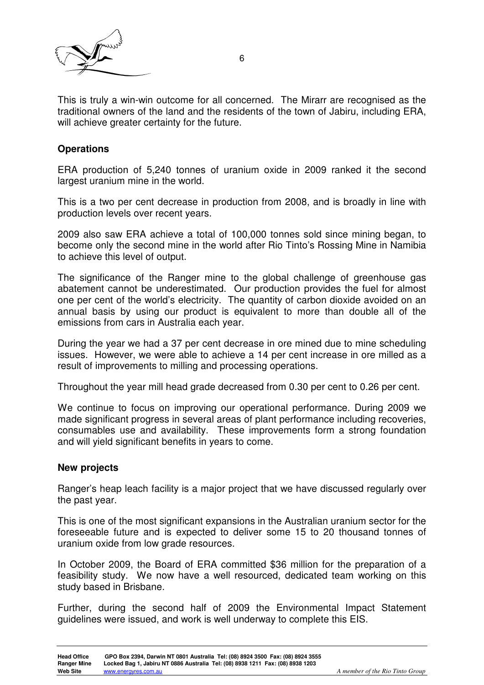

This is truly a win-win outcome for all concerned. The Mirarr are recognised as the traditional owners of the land and the residents of the town of Jabiru, including ERA, will achieve greater certainty for the future.

# **Operations**

ERA production of 5,240 tonnes of uranium oxide in 2009 ranked it the second largest uranium mine in the world.

This is a two per cent decrease in production from 2008, and is broadly in line with production levels over recent years.

2009 also saw ERA achieve a total of 100,000 tonnes sold since mining began, to become only the second mine in the world after Rio Tinto's Rossing Mine in Namibia to achieve this level of output.

The significance of the Ranger mine to the global challenge of greenhouse gas abatement cannot be underestimated. Our production provides the fuel for almost one per cent of the world's electricity. The quantity of carbon dioxide avoided on an annual basis by using our product is equivalent to more than double all of the emissions from cars in Australia each year.

During the year we had a 37 per cent decrease in ore mined due to mine scheduling issues. However, we were able to achieve a 14 per cent increase in ore milled as a result of improvements to milling and processing operations.

Throughout the year mill head grade decreased from 0.30 per cent to 0.26 per cent.

We continue to focus on improving our operational performance. During 2009 we made significant progress in several areas of plant performance including recoveries, consumables use and availability. These improvements form a strong foundation and will yield significant benefits in years to come.

#### **New projects**

Ranger's heap leach facility is a major project that we have discussed regularly over the past year.

This is one of the most significant expansions in the Australian uranium sector for the foreseeable future and is expected to deliver some 15 to 20 thousand tonnes of uranium oxide from low grade resources.

In October 2009, the Board of ERA committed \$36 million for the preparation of a feasibility study. We now have a well resourced, dedicated team working on this study based in Brisbane.

Further, during the second half of 2009 the Environmental Impact Statement guidelines were issued, and work is well underway to complete this EIS.